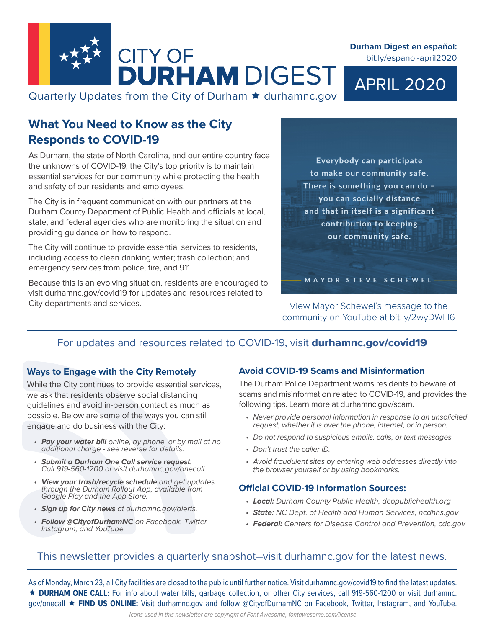

**Durham Digest en español:**  bit.ly/espanol-april2020

APRIL 2020

Quarterly Updates from the City of Durham  $\star$  durhamnc.gov

# **What You Need to Know as the City Responds to COVID-19**

As Durham, the state of North Carolina, and our entire country face the unknowns of COVID-19, the City's top priority is to maintain essential services for our community while protecting the health and safety of our residents and employees.

The City is in frequent communication with our partners at the Durham County Department of Public Health and officials at local, state, and federal agencies who are monitoring the situation and providing guidance on how to respond.

The City will continue to provide essential services to residents, including access to clean drinking water; trash collection; and emergency services from police, fire, and 911.

Because this is an evolving situation, residents are encouraged to visit durhamnc.gov/covid19 for updates and resources related to City departments and services.

Everybody can participate to make our community safe. There is something you can do you can socially distance and that in itself is a significant contribution to keeping our community safe.

View Mayor Schewel's message to the community on YouTube at bit.ly/2wyDWH6

MAYOR STEVE SCHEWEL

# For updates and resources related to COVID-19, visit durhamnc.gov/covid19

#### **Ways to Engage with the City Remotely**

While the City continues to provide essential services, we ask that residents observe social distancing guidelines and avoid in-person contact as much as possible. Below are some of the ways you can still engage and do business with the City:

- *• Pay your water bill online, by phone, or by mail at no additional charge - see reverse for details.*
- *• Submit a Durham One Call service request. Call 919-560-1200 or visit durhamnc.gov/onecall.*
- *• View your trash/recycle schedule and get updates through the Durham Rollout App, available from Google Play and the App Store.*
- *• Sign up for City news at durhamnc.gov/alerts.*
- *• Follow @CityofDurhamNC on Facebook, Twitter, Instagram, and YouTube.*

#### **Avoid COVID-19 Scams and Misinformation**

The Durham Police Department warns residents to beware of scams and misinformation related to COVID-19, and provides the following tips. Learn more at durhamnc.gov/scam.

- *• Never provide personal information in response to an unsolicited request, whether it is over the phone, internet, or in person.*
- *• Do not respond to suspicious emails, calls, or text messages.*
- *• Don't trust the caller ID.*
- *• Avoid fraudulent sites by entering web addresses directly into the browser yourself or by using bookmarks.*

## **Official COVID-19 Information Sources:**

- *• Local: Durham County Public Health, dcopublichealth.org*
- *• State: NC Dept. of Health and Human Services, ncdhhs.gov*
- *• Federal: Centers for Disease Control and Prevention, cdc.gov*

## This newsletter provides a quarterly snapshot—visit durhamnc.gov for the latest news.

As of Monday, March 23, all City facilities are closed to the public until further notice. Visit durhamnc.gov/covid19 to find the latest updates. **DURHAM ONE CALL:** For info about water bills, garbage collection, or other City services, call 919-560-1200 or visit durhamnc. gov/onecall **FIND US ONLINE:** Visit durhamnc.gov and follow @CityofDurhamNC on Facebook, Twitter, Instagram, and YouTube.